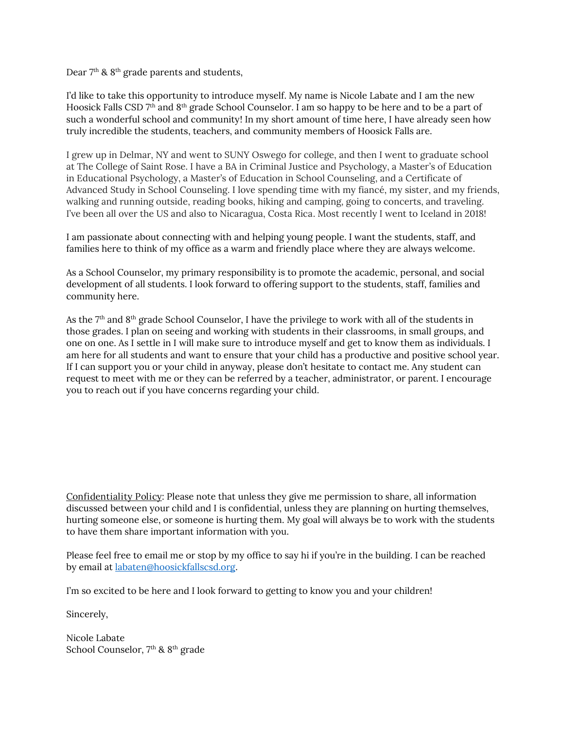Dear  $7<sup>th</sup>$  &  $8<sup>th</sup>$  grade parents and students,

I'd like to take this opportunity to introduce myself. My name is Nicole Labate and I am the new Hoosick Falls CSD 7<sup>th</sup> and 8<sup>th</sup> grade School Counselor. I am so happy to be here and to be a part of such a wonderful school and community! In my short amount of time here, I have already seen how truly incredible the students, teachers, and community members of Hoosick Falls are.

I grew up in Delmar, NY and went to SUNY Oswego for college, and then I went to graduate school at The College of Saint Rose. I have a BA in Criminal Justice and Psychology, a Master's of Education in Educational Psychology, a Master's of Education in School Counseling, and a Certificate of Advanced Study in School Counseling. I love spending time with my fiancé, my sister, and my friends, walking and running outside, reading books, hiking and camping, going to concerts, and traveling. I've been all over the US and also to Nicaragua, Costa Rica. Most recently I went to Iceland in 2018!

I am passionate about connecting with and helping young people. I want the students, staff, and families here to think of my office as a warm and friendly place where they are always welcome.

As a School Counselor, my primary responsibility is to promote the academic, personal, and social development of all students. I look forward to offering support to the students, staff, families and community here.

As the 7<sup>th</sup> and 8<sup>th</sup> grade School Counselor, I have the privilege to work with all of the students in those grades. I plan on seeing and working with students in their classrooms, in small groups, and one on one. As I settle in I will make sure to introduce myself and get to know them as individuals. I am here for all students and want to ensure that your child has a productive and positive school year. If I can support you or your child in anyway, please don't hesitate to contact me. Any student can request to meet with me or they can be referred by a teacher, administrator, or parent. I encourage you to reach out if you have concerns regarding your child.

**Confidentiality Policy**: Please note that unless they give me permission to share, all information discussed between your child and I is confidential, unless they are planning on hurting themselves, hurting someone else, or someone is hurting them. My goal will always be to work with the students to have them share important information with you.

Please feel free to email me or stop by my office to say hi if you're in the building. I can be reached by email at [labaten@hoosickfallscsd.org.](mailto:labaten@hoosickfallscsd.org)

I'm so excited to be here and I look forward to getting to know you and your children!

Sincerely,

Nicole Labate School Counselor, 7<sup>th</sup> & 8<sup>th</sup> grade